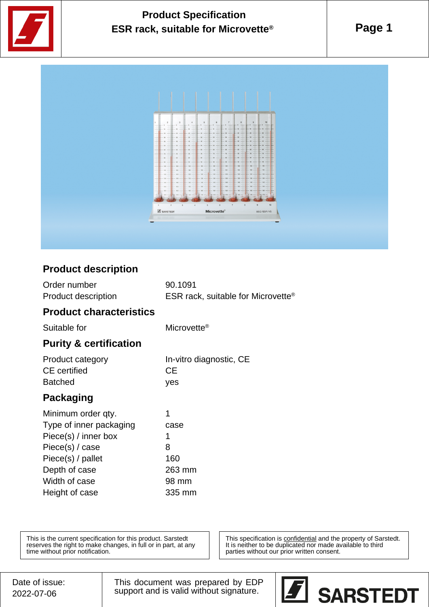

# **Product Specification ESR rack, suitable for Microvette®**

**Page 1**



### **Product description**

| Order number        | 90.1091                                   |
|---------------------|-------------------------------------------|
| Product description | <b>ESR rack, suitable for Microvette®</b> |

#### **Product characteristics**

Suitable for Microvette<sup>®</sup>

### **Purity & certification**

| Product category    | In-vitro diagnostic, CE |
|---------------------|-------------------------|
| <b>CE</b> certified | CE.                     |
| <b>Batched</b>      | yes                     |

## **Packaging**

| Minimum order qty.      |        |
|-------------------------|--------|
| Type of inner packaging | case   |
| Piece(s) / inner box    | 1      |
| Piece(s) / case         | 8      |
| Piece(s) / pallet       | 160    |
| Depth of case           | 263 mm |
| Width of case           | 98 mm  |
| Height of case          | 335 mm |

This is the current specification for this product. Sarstedt reserves the right to make changes, in full or in part, at any time without prior notification.

This specification is **confidential** and the property of Sarstedt. It is neither to be duplicated nor made available to third parties without our prior written consent.